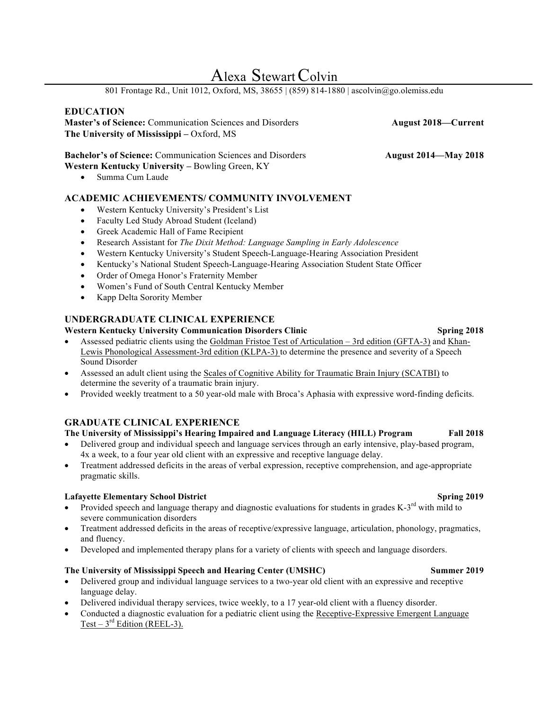# Alexa Stewart Colvin

801 Frontage Rd., Unit 1012, Oxford, MS, 38655 | (859) 814-1880 | ascolvin@go.olemiss.edu

### **EDUCATION**

**Master's of Science:** Communication Sciences and Disorders **August** 2018—Current **The University of Mississippi –** Oxford, MS

# **Bachelor's of Science:** Communication Sciences and Disorders **August 2014—May 2018**

**Western Kentucky University –** Bowling Green, KY

• Summa Cum Laude

### **ACADEMIC ACHIEVEMENTS/ COMMUNITY INVOLVEMENT**

- Western Kentucky University's President's List
- Faculty Led Study Abroad Student (Iceland)
- Greek Academic Hall of Fame Recipient
- Research Assistant for *The Dixit Method: Language Sampling in Early Adolescence*
- Western Kentucky University's Student Speech-Language-Hearing Association President
- Kentucky's National Student Speech-Language-Hearing Association Student State Officer
- Order of Omega Honor's Fraternity Member
- Women's Fund of South Central Kentucky Member
- Kapp Delta Sorority Member

### **UNDERGRADUATE CLINICAL EXPERIENCE**

#### **Western Kentucky University Communication Disorders Clinic Spring 2018**  Spring 2018

- Assessed pediatric clients using the Goldman Fristoe Test of Articulation 3rd edition (GFTA-3) and Khan-Lewis Phonological Assessment-3rd edition (KLPA-3) to determine the presence and severity of a Speech Sound Disorder
- Assessed an adult client using the Scales of Cognitive Ability for Traumatic Brain Injury (SCATBI) to determine the severity of a traumatic brain injury.
- Provided weekly treatment to a 50 year-old male with Broca's Aphasia with expressive word-finding deficits.

### **GRADUATE CLINICAL EXPERIENCE**

#### **The University of Mississippi's Hearing Impaired and Language Literacy (HILL) Program Fall 2018**

- Delivered group and individual speech and language services through an early intensive, play-based program, 4x a week, to a four year old client with an expressive and receptive language delay.
- Treatment addressed deficits in the areas of verbal expression, receptive comprehension, and age-appropriate pragmatic skills.

#### **Lafayette Elementary School District Spring 2019** Spring 2019

- Provided speech and language therapy and diagnostic evaluations for students in grades  $K-3^{rd}$  with mild to severe communication disorders
- Treatment addressed deficits in the areas of receptive/expressive language, articulation, phonology, pragmatics, and fluency.
- Developed and implemented therapy plans for a variety of clients with speech and language disorders.

#### **The University of Mississippi Speech and Hearing Center (UMSHC) Summer 2019**

- Delivered group and individual language services to a two-year old client with an expressive and receptive language delay.
- Delivered individual therapy services, twice weekly, to a 17 year-old client with a fluency disorder.
- Conducted a diagnostic evaluation for a pediatric client using the Receptive-Expressive Emergent Language Test –  $3<sup>rd</sup>$  Edition (REEL-3).